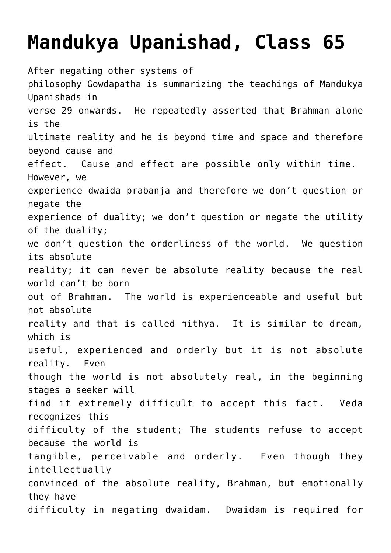## **[Mandukya Upanishad, Class 65](http://www.advaidam.com/2019/11/05/mandukya-upanishad-class-65/)**

After negating other systems of philosophy Gowdapatha is summarizing the teachings of Mandukya Upanishads in verse 29 onwards. He repeatedly asserted that Brahman alone is the ultimate reality and he is beyond time and space and therefore beyond cause and effect. Cause and effect are possible only within time. However, we experience dwaida prabanja and therefore we don't question or negate the experience of duality; we don't question or negate the utility of the duality; we don't question the orderliness of the world. We question its absolute reality; it can never be absolute reality because the real world can't be born out of Brahman. The world is experienceable and useful but not absolute reality and that is called mithya. It is similar to dream, which is useful, experienced and orderly but it is not absolute reality. Even though the world is not absolutely real, in the beginning stages a seeker will find it extremely difficult to accept this fact. Veda recognizes this difficulty of the student; The students refuse to accept because the world is tangible, perceivable and orderly. Even though they intellectually convinced of the absolute reality, Brahman, but emotionally they have difficulty in negating dwaidam. Dwaidam is required for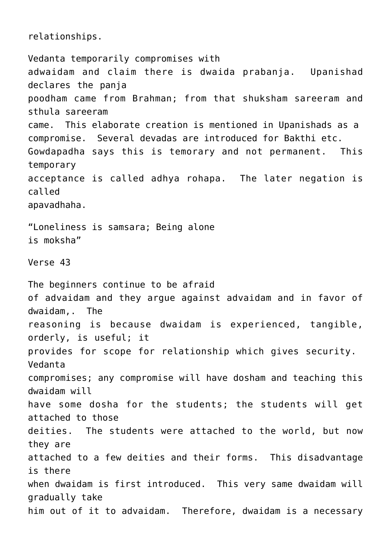relationships.

Vedanta temporarily compromises with adwaidam and claim there is dwaida prabanja. Upanishad declares the panja poodham came from Brahman; from that shuksham sareeram and sthula sareeram came. This elaborate creation is mentioned in Upanishads as a compromise. Several devadas are introduced for Bakthi etc. Gowdapadha says this is temorary and not permanent. This temporary acceptance is called adhya rohapa. The later negation is called apavadhaha. "Loneliness is samsara; Being alone is moksha" Verse 43 The beginners continue to be afraid of advaidam and they argue against advaidam and in favor of dwaidam,. The reasoning is because dwaidam is experienced, tangible, orderly, is useful; it provides for scope for relationship which gives security. Vedanta compromises; any compromise will have dosham and teaching this dwaidam will have some dosha for the students; the students will get attached to those deities. The students were attached to the world, but now they are attached to a few deities and their forms. This disadvantage is there when dwaidam is first introduced. This very same dwaidam will gradually take him out of it to advaidam. Therefore, dwaidam is a necessary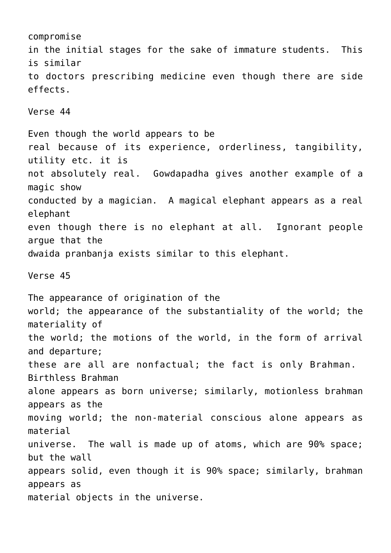compromise in the initial stages for the sake of immature students. This is similar to doctors prescribing medicine even though there are side effects. Verse 44 Even though the world appears to be real because of its experience, orderliness, tangibility, utility etc. it is not absolutely real. Gowdapadha gives another example of a magic show conducted by a magician. A magical elephant appears as a real elephant even though there is no elephant at all. Ignorant people argue that the dwaida pranbanja exists similar to this elephant. Verse 45 The appearance of origination of the world; the appearance of the substantiality of the world; the materiality of the world; the motions of the world, in the form of arrival and departure; these are all are nonfactual; the fact is only Brahman. Birthless Brahman alone appears as born universe; similarly, motionless brahman appears as the moving world; the non-material conscious alone appears as material universe. The wall is made up of atoms, which are 90% space; but the wall appears solid, even though it is 90% space; similarly, brahman appears as material objects in the universe.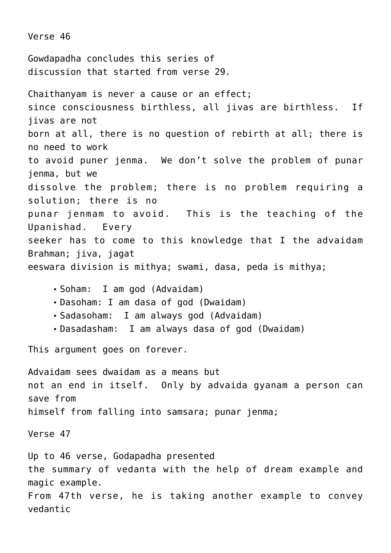Verse 46 Gowdapadha concludes this series of discussion that started from verse 29. Chaithanyam is never a cause or an effect; since consciousness birthless, all jivas are birthless. If jivas are not born at all, there is no question of rebirth at all; there is no need to work to avoid puner jenma. We don't solve the problem of punar jenma, but we dissolve the problem; there is no problem requiring a solution; there is no punar jenmam to avoid. This is the teaching of the Upanishad. Every seeker has to come to this knowledge that I the advaidam Brahman; jiva, jagat eeswara division is mithya; swami, dasa, peda is mithya; Soham: I am god (Advaidam) Dasoham: I am dasa of god (Dwaidam) Sadasoham: I am always god (Advaidam) Dasadasham: I am always dasa of god (Dwaidam) This argument goes on forever. Advaidam sees dwaidam as a means but not an end in itself. Only by advaida gyanam a person can save from himself from falling into samsara; punar jenma; Verse 47

Up to 46 verse, Godapadha presented the summary of vedanta with the help of dream example and magic example. From 47th verse, he is taking another example to convey vedantic